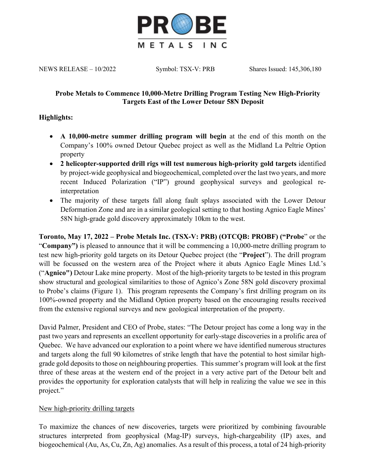

NEWS RELEASE – 10/2022 Symbol: TSX-V: PRB Shares Issued: 145,306,180

### **Probe Metals to Commence 10,000-Metre Drilling Program Testing New High-Priority Targets East of the Lower Detour 58N Deposit**

# **Highlights:**

- **A 10,000-metre summer drilling program will begin** at the end of this month on the Company's 100% owned Detour Quebec project as well as the Midland La Peltrie Option property
- **2 helicopter-supported drill rigs will test numerous high-priority gold targets** identified by project-wide geophysical and biogeochemical, completed over the last two years, and more recent Induced Polarization ("IP") ground geophysical surveys and geological reinterpretation
- The majority of these targets fall along fault splays associated with the Lower Detour Deformation Zone and are in a similar geological setting to that hosting Agnico Eagle Mines' 58N high-grade gold discovery approximately 10km to the west.

**Toronto, May 17, 2022 – Probe Metals Inc. (TSX-V: PRB) (OTCQB: PROBF) ("Probe**" or the "**Company")** is pleased to announce that it will be commencing a 10,000-metre drilling program to test new high-priority gold targets on its Detour Quebec project (the "**Project**"). The drill program will be focussed on the western area of the Project where it abuts Agnico Eagle Mines Ltd.'s ("**Agnico")** Detour Lake mine property. Most of the high-priority targets to be tested in this program show structural and geological similarities to those of Agnico's Zone 58N gold discovery proximal to Probe's claims (Figure 1). This program represents the Company's first drilling program on its 100%-owned property and the Midland Option property based on the encouraging results received from the extensive regional surveys and new geological interpretation of the property.

David Palmer, President and CEO of Probe, states: "The Detour project has come a long way in the past two years and represents an excellent opportunity for early-stage discoveries in a prolific area of Quebec. We have advanced our exploration to a point where we have identified numerous structures and targets along the full 90 kilometres of strike length that have the potential to host similar highgrade gold deposits to those on neighbouring properties. This summer's program will look at the first three of these areas at the western end of the project in a very active part of the Detour belt and provides the opportunity for exploration catalysts that will help in realizing the value we see in this project."

### New high-priority drilling targets

To maximize the chances of new discoveries, targets were prioritized by combining favourable structures interpreted from geophysical (Mag-IP) surveys, high-chargeability (IP) axes, and biogeochemical (Au, As, Cu, Zn, Ag) anomalies. As a result of this process, a total of 24 high-priority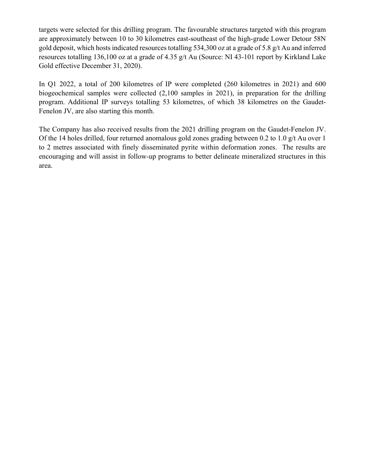targets were selected for this drilling program. The favourable structures targeted with this program are approximately between 10 to 30 kilometres east-southeast of the high-grade Lower Detour 58N gold deposit, which hosts indicated resources totalling 534,300 oz at a grade of 5.8 g/t Au and inferred resources totalling 136,100 oz at a grade of 4.35 g/t Au (Source: NI 43-101 report by Kirkland Lake Gold effective December 31, 2020).

In Q1 2022, a total of 200 kilometres of IP were completed (260 kilometres in 2021) and 600 biogeochemical samples were collected (2,100 samples in 2021), in preparation for the drilling program. Additional IP surveys totalling 53 kilometres, of which 38 kilometres on the Gaudet-Fenelon JV, are also starting this month.

The Company has also received results from the 2021 drilling program on the Gaudet-Fenelon JV. Of the 14 holes drilled, four returned anomalous gold zones grading between 0.2 to 1.0 g/t Au over 1 to 2 metres associated with finely disseminated pyrite within deformation zones. The results are encouraging and will assist in follow-up programs to better delineate mineralized structures in this area.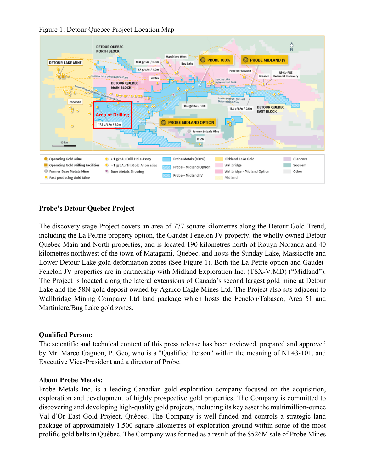

Figure 1: Detour Quebec Project Location Map

# **Probe's Detour Quebec Project**

The discovery stage Project covers an area of 777 square kilometres along the Detour Gold Trend, including the La Peltrie property option, the Gaudet-Fenelon JV property, the wholly owned Detour Quebec Main and North properties, and is located 190 kilometres north of Rouyn-Noranda and 40 kilometres northwest of the town of Matagami, Quebec, and hosts the Sunday Lake, Massicotte and Lower Detour Lake gold deformation zones (See Figure 1). Both the La Petrie option and Gaudet-Fenelon JV properties are in partnership with Midland Exploration Inc. (TSX-V:MD) ("Midland"). The Project is located along the lateral extensions of Canada's second largest gold mine at Detour Lake and the 58N gold deposit owned by Agnico Eagle Mines Ltd. The Project also sits adjacent to Wallbridge Mining Company Ltd land package which hosts the Fenelon/Tabasco, Area 51 and Martiniere/Bug Lake gold zones.

#### **Qualified Person:**

The scientific and technical content of this press release has been reviewed, prepared and approved by Mr. Marco Gagnon, P. Geo, who is a "Qualified Person" within the meaning of NI 43-101, and Executive Vice-President and a director of Probe.

#### **About Probe Metals:**

Probe Metals Inc. is a leading Canadian gold exploration company focused on the acquisition, exploration and development of highly prospective gold properties. The Company is committed to discovering and developing high-quality gold projects, including its key asset the multimillion-ounce Val-d'Or East Gold Project, Québec. The Company is well-funded and controls a strategic land package of approximately 1,500-square-kilometres of exploration ground within some of the most prolific gold belts in Québec. The Company was formed as a result of the \$526M sale of Probe Mines